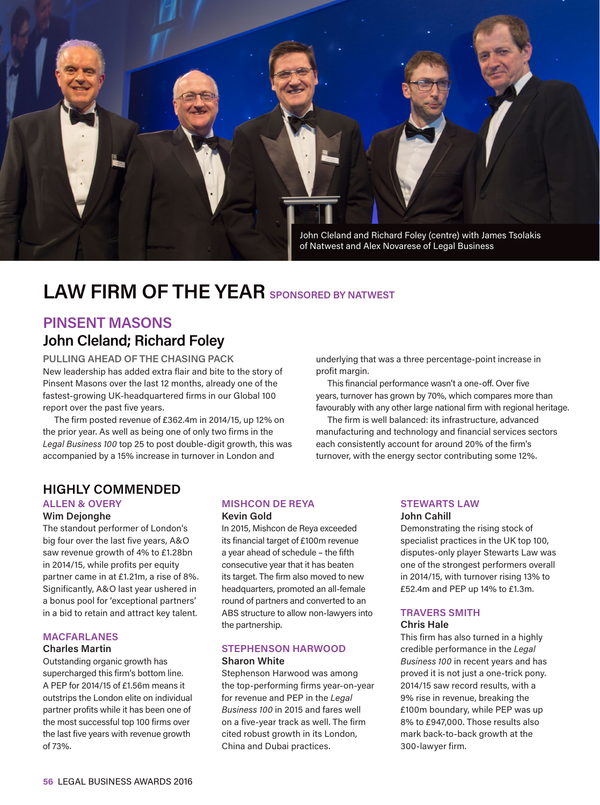

## **LAW FIRM OF THE YEAR SPONSORED BY NATWEST**

### **PINSENT MASONS John Cleland; Richard Foley**

**PULLING AHEAD OF THE CHASING PACK** New leadership has added extra flair and bite to the story of Pinsent Masons over the last 12 months, already one of the fastest-growing UK-headquartered firms in our Global 100 report over the past five years.

The firm posted revenue of £362.4m in 2014/15, up 12% on the prior year. As well as being one of only two firms in the *Legal Business 100* top 25 to post double-digit growth, this was accompanied by a 15% increase in turnover in London and

underlying that was a three percentage-point increase in profit margin.

This financial performance wasn't a one-off. Over five years, turnover has grown by 70%, which compares more than favourably with any other large national firm with regional heritage.

The firm is well balanced: its infrastructure, advanced manufacturing and technology and financial services sectors each consistently account for around 20% of the firm's turnover, with the energy sector contributing some 12%.

### **HIGHLY COMMENDED**

#### **ALLEN & OVERY**

#### **Wim Dejonghe**

The standout performer of London's big four over the last five years, A&O saw revenue growth of 4% to £1.28bn in 2014/15, while profits per equity partner came in at £1.21m, a rise of 8%. Significantly, A&O last year ushered in a bonus pool for 'exceptional partners' in a bid to retain and attract key talent.

#### **MACFARLANES**

#### **Charles Martin**

Outstanding organic growth has supercharged this firm's bottom line. A PEP for 2014/15 of £1.56m means it outstrips the London elite on individual partner profits while it has been one of the most successful top 100 firms over the last five years with revenue growth of 73%.

#### **MISHCON DE REYA Kevin Gold**

In 2015, Mishcon de Reya exceeded its financial target of £100m revenue a year ahead of schedule – the fifth consecutive year that it has beaten its target. The firm also moved to new headquarters, promoted an all-female round of partners and converted to an ABS structure to allow non-lawyers into the partnership.

#### **STEPHENSON HARWOOD Sharon White**

Stephenson Harwood was among the top-performing firms year-on-year for revenue and PEP in the *Legal Business 100* in 2015 and fares well on a five-year track as well. The firm cited robust growth in its London, China and Dubai practices.

#### **STEWARTS LAW**

#### **John Cahill**

Demonstrating the rising stock of specialist practices in the UK top 100, disputes-only player Stewarts Law was one of the strongest performers overall in 2014/15, with turnover rising 13% to £52.4m and PEP up 14% to £1.3m.

### **TRAVERS SMITH**

#### **Chris Hale**

This firm has also turned in a highly credible performance in the *Legal Business 100* in recent years and has proved it is not just a one-trick pony. 2014/15 saw record results, with a 9% rise in revenue, breaking the £100m boundary, while PEP was up 8% to £947,000. Those results also mark back-to-back growth at the 300-lawyer firm.